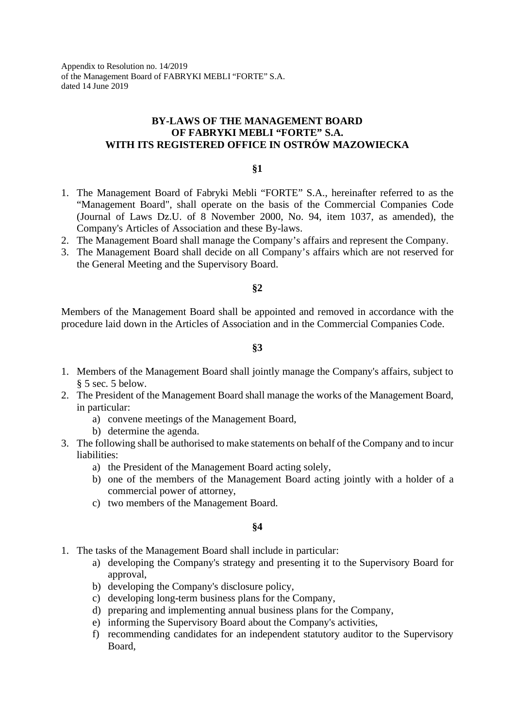Appendix to Resolution no. 14/2019 of the Management Board of FABRYKI MEBLI "FORTE" S.A. dated 14 June 2019

# **BY-LAWS OF THE MANAGEMENT BOARD OF FABRYKI MEBLI "FORTE" S.A. WITH ITS REGISTERED OFFICE IN OSTRÓW MAZOWIECKA**

**§1**

- 1. The Management Board of Fabryki Mebli "FORTE" S.A., hereinafter referred to as the "Management Board", shall operate on the basis of the Commercial Companies Code (Journal of Laws Dz.U. of 8 November 2000, No. 94, item 1037, as amended), the Company's Articles of Association and these By-laws.
- 2. The Management Board shall manage the Company's affairs and represent the Company.
- 3. The Management Board shall decide on all Company's affairs which are not reserved for the General Meeting and the Supervisory Board.

#### **§2**

Members of the Management Board shall be appointed and removed in accordance with the procedure laid down in the Articles of Association and in the Commercial Companies Code.

## **§3**

- 1. Members of the Management Board shall jointly manage the Company's affairs, subject to § 5 sec. 5 below.
- 2. The President of the Management Board shall manage the works of the Management Board, in particular:
	- a) convene meetings of the Management Board,
	- b) determine the agenda.
- 3. The following shall be authorised to make statements on behalf of the Company and to incur liabilities:
	- a) the President of the Management Board acting solely,
	- b) one of the members of the Management Board acting jointly with a holder of a commercial power of attorney,
	- c) two members of the Management Board.

#### **§4**

- 1. The tasks of the Management Board shall include in particular:
	- a) developing the Company's strategy and presenting it to the Supervisory Board for approval,
	- b) developing the Company's disclosure policy,
	- c) developing long-term business plans for the Company,
	- d) preparing and implementing annual business plans for the Company,
	- e) informing the Supervisory Board about the Company's activities,
	- f) recommending candidates for an independent statutory auditor to the Supervisory Board,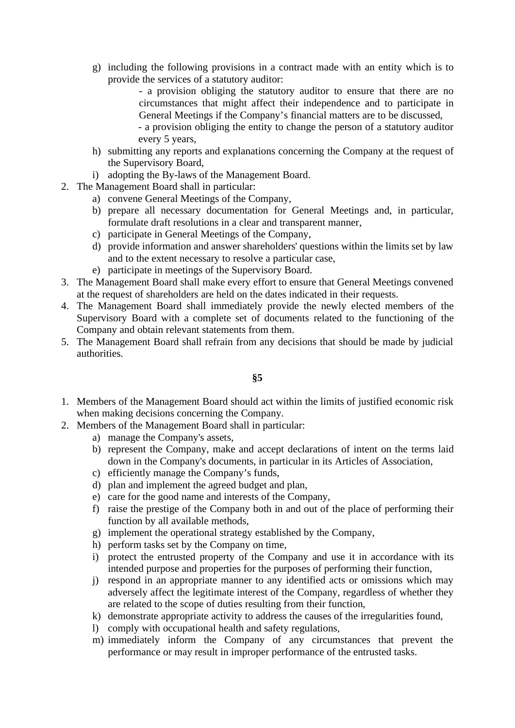g) including the following provisions in a contract made with an entity which is to provide the services of a statutory auditor:

- a provision obliging the statutory auditor to ensure that there are no circumstances that might affect their independence and to participate in General Meetings if the Company's financial matters are to be discussed,

- a provision obliging the entity to change the person of a statutory auditor every 5 years,

- h) submitting any reports and explanations concerning the Company at the request of the Supervisory Board,
- i) adopting the By-laws of the Management Board.
- 2. The Management Board shall in particular:
	- a) convene General Meetings of the Company,
	- b) prepare all necessary documentation for General Meetings and, in particular, formulate draft resolutions in a clear and transparent manner,
	- c) participate in General Meetings of the Company,
	- d) provide information and answer shareholders' questions within the limits set by law and to the extent necessary to resolve a particular case,
	- e) participate in meetings of the Supervisory Board.
- 3. The Management Board shall make every effort to ensure that General Meetings convened at the request of shareholders are held on the dates indicated in their requests.
- 4. The Management Board shall immediately provide the newly elected members of the Supervisory Board with a complete set of documents related to the functioning of the Company and obtain relevant statements from them.
- 5. The Management Board shall refrain from any decisions that should be made by judicial authorities.

# **§5**

- 1. Members of the Management Board should act within the limits of justified economic risk when making decisions concerning the Company.
- 2. Members of the Management Board shall in particular:
	- a) manage the Company's assets,
	- b) represent the Company, make and accept declarations of intent on the terms laid down in the Company's documents, in particular in its Articles of Association,
	- c) efficiently manage the Company's funds,
	- d) plan and implement the agreed budget and plan,
	- e) care for the good name and interests of the Company,
	- f) raise the prestige of the Company both in and out of the place of performing their function by all available methods,
	- g) implement the operational strategy established by the Company,
	- h) perform tasks set by the Company on time,
	- i) protect the entrusted property of the Company and use it in accordance with its intended purpose and properties for the purposes of performing their function,
	- j) respond in an appropriate manner to any identified acts or omissions which may adversely affect the legitimate interest of the Company, regardless of whether they are related to the scope of duties resulting from their function,
	- k) demonstrate appropriate activity to address the causes of the irregularities found,
	- l) comply with occupational health and safety regulations,
	- m) immediately inform the Company of any circumstances that prevent the performance or may result in improper performance of the entrusted tasks.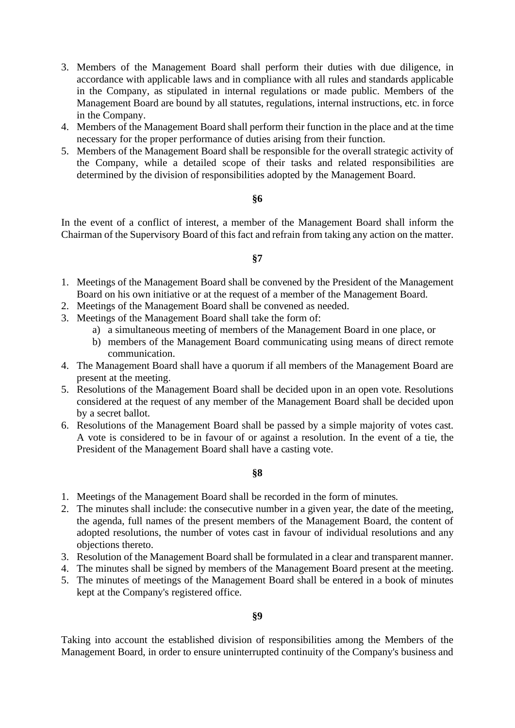- 3. Members of the Management Board shall perform their duties with due diligence, in accordance with applicable laws and in compliance with all rules and standards applicable in the Company, as stipulated in internal regulations or made public. Members of the Management Board are bound by all statutes, regulations, internal instructions, etc. in force in the Company.
- 4. Members of the Management Board shall perform their function in the place and at the time necessary for the proper performance of duties arising from their function.
- 5. Members of the Management Board shall be responsible for the overall strategic activity of the Company, while a detailed scope of their tasks and related responsibilities are determined by the division of responsibilities adopted by the Management Board.

### **§6**

In the event of a conflict of interest, a member of the Management Board shall inform the Chairman of the Supervisory Board of this fact and refrain from taking any action on the matter.

### **§7**

- 1. Meetings of the Management Board shall be convened by the President of the Management Board on his own initiative or at the request of a member of the Management Board.
- 2. Meetings of the Management Board shall be convened as needed.
- 3. Meetings of the Management Board shall take the form of:
	- a) a simultaneous meeting of members of the Management Board in one place, or
	- b) members of the Management Board communicating using means of direct remote communication.
- 4. The Management Board shall have a quorum if all members of the Management Board are present at the meeting.
- 5. Resolutions of the Management Board shall be decided upon in an open vote. Resolutions considered at the request of any member of the Management Board shall be decided upon by a secret ballot.
- 6. Resolutions of the Management Board shall be passed by a simple majority of votes cast. A vote is considered to be in favour of or against a resolution. In the event of a tie, the President of the Management Board shall have a casting vote.

#### **§8**

- 1. Meetings of the Management Board shall be recorded in the form of minutes.
- 2. The minutes shall include: the consecutive number in a given year, the date of the meeting, the agenda, full names of the present members of the Management Board, the content of adopted resolutions, the number of votes cast in favour of individual resolutions and any objections thereto.
- 3. Resolution of the Management Board shall be formulated in a clear and transparent manner.
- 4. The minutes shall be signed by members of the Management Board present at the meeting.
- 5. The minutes of meetings of the Management Board shall be entered in a book of minutes kept at the Company's registered office.

#### **§9**

Taking into account the established division of responsibilities among the Members of the Management Board, in order to ensure uninterrupted continuity of the Company's business and